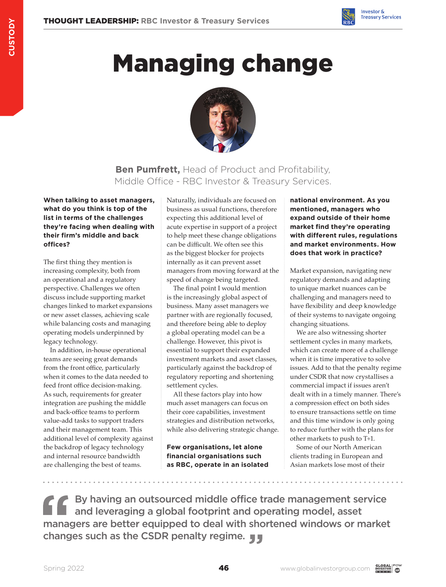

# Managing change



**Ben Pumfrett,** Head of Product and Profitability, Middle Office - RBC Investor & Treasury Services.

**When talking to asset managers, what do you think is top of the list in terms of the challenges they're facing when dealing with their firm's middle and back offices?**

The first thing they mention is increasing complexity, both from an operational and a regulatory perspective. Challenges we often discuss include supporting market changes linked to market expansions or new asset classes, achieving scale while balancing costs and managing operating models underpinned by legacy technology.

In addition, in-house operational teams are seeing great demands from the front office, particularly when it comes to the data needed to feed front office decision-making. As such, requirements for greater integration are pushing the middle and back-office teams to perform value-add tasks to support traders and their management team. This additional level of complexity against the backdrop of legacy technology and internal resource bandwidth are challenging the best of teams.

Naturally, individuals are focused on business as usual functions, therefore expecting this additional level of acute expertise in support of a project to help meet these change obligations can be difficult. We often see this as the biggest blocker for projects internally as it can prevent asset managers from moving forward at the speed of change being targeted.

The final point I would mention is the increasingly global aspect of business. Many asset managers we partner with are regionally focused, and therefore being able to deploy a global operating model can be a challenge. However, this pivot is essential to support their expanded investment markets and asset classes, particularly against the backdrop of regulatory reporting and shortening settlement cycles.

All these factors play into how much asset managers can focus on their core capabilities, investment strategies and distribution networks, while also delivering strategic change.

**Few organisations, let alone financial organisations such as RBC, operate in an isolated**  **national environment. As you mentioned, managers who expand outside of their home market find they're operating with different rules, regulations and market environments. How does that work in practice?**

Market expansion, navigating new regulatory demands and adapting to unique market nuances can be challenging and managers need to have flexibility and deep knowledge of their systems to navigate ongoing changing situations.

We are also witnessing shorter settlement cycles in many markets, which can create more of a challenge when it is time imperative to solve issues. Add to that the penalty regime under CSDR that now crystallises a commercial impact if issues aren't dealt with in a timely manner. There's a compression effect on both sides to ensure transactions settle on time and this time window is only going to reduce further with the plans for other markets to push to T+1.

Some of our North American clients trading in European and Asian markets lose most of their

By having an outsourced middle office trade management service and leveraging a global footprint and operating model, asset managers are better equipped to deal with shortened windows or market changes such as the CSDR penalty regime.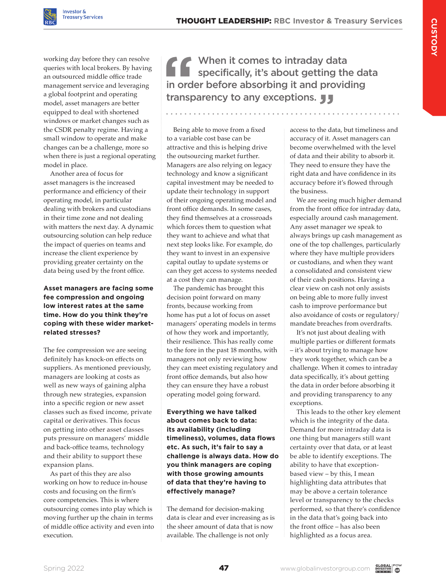working day before they can resolve queries with local brokers. By having an outsourced middle office trade management service and leveraging a global footprint and operating model, asset managers are better equipped to deal with shortened windows or market changes such as the CSDR penalty regime. Having a small window to operate and make changes can be a challenge, more so when there is just a regional operating model in place.

Another area of focus for asset managers is the increased performance and efficiency of their operating model, in particular dealing with brokers and custodians in their time zone and not dealing with matters the next day. A dynamic outsourcing solution can help reduce the impact of queries on teams and increase the client experience by providing greater certainty on the data being used by the front office.

### **Asset managers are facing some fee compression and ongoing low interest rates at the same time. How do you think they're coping with these wider marketrelated stresses?**

The fee compression we are seeing definitely has knock-on effects on suppliers. As mentioned previously, managers are looking at costs as well as new ways of gaining alpha through new strategies, expansion into a specific region or new asset classes such as fixed income, private capital or derivatives. This focus on getting into other asset classes puts pressure on managers' middle and back-office teams, technology and their ability to support these expansion plans.

As part of this they are also working on how to reduce in-house costs and focusing on the firm's core competencies. This is where outsourcing comes into play which is moving further up the chain in terms of middle office activity and even into execution.

When it comes to intraday data specifically, it's about getting the data in order before absorbing it and providing transparency to any exceptions. **JJ** 

Being able to move from a fixed to a variable cost base can be attractive and this is helping drive the outsourcing market further. Managers are also relying on legacy technology and know a significant capital investment may be needed to update their technology in support of their ongoing operating model and front office demands. In some cases, they find themselves at a crossroads which forces them to question what they want to achieve and what that next step looks like. For example, do they want to invest in an expensive capital outlay to update systems or can they get access to systems needed at a cost they can manage.

The pandemic has brought this decision point forward on many fronts, because working from home has put a lot of focus on asset managers' operating models in terms of how they work and importantly, their resilience. This has really come to the fore in the past 18 months, with managers not only reviewing how they can meet existing regulatory and front office demands, but also how they can ensure they have a robust operating model going forward.

**Everything we have talked about comes back to data: its availability (including timeliness), volumes, data flows etc. As such, it's fair to say a challenge is always data. How do you think managers are coping with those growing amounts of data that they're having to effectively manage?** 

The demand for decision-making data is clear and ever increasing as is the sheer amount of data that is now available. The challenge is not only

access to the data, but timeliness and accuracy of it. Asset managers can become overwhelmed with the level of data and their ability to absorb it. They need to ensure they have the right data and have confidence in its accuracy before it's flowed through the business.

We are seeing much higher demand from the front office for intraday data, especially around cash management. Any asset manager we speak to always brings up cash management as one of the top challenges, particularly where they have multiple providers or custodians, and when they want a consolidated and consistent view of their cash positions. Having a clear view on cash not only assists on being able to more fully invest cash to improve performance but also avoidance of costs or regulatory/ mandate breaches from overdrafts.

It's not just about dealing with multiple parties or different formats – it's about trying to manage how they work together, which can be a challenge. When it comes to intraday data specifically, it's about getting the data in order before absorbing it and providing transparency to any exceptions.

This leads to the other key element which is the integrity of the data. Demand for more intraday data is one thing but managers still want certainty over that data, or at least be able to identify exceptions. The ability to have that exceptionbased view – by this, I mean highlighting data attributes that may be above a certain tolerance level or transparency to the checks performed, so that there's confidence in the data that's going back into the front office – has also been highlighted as a focus area.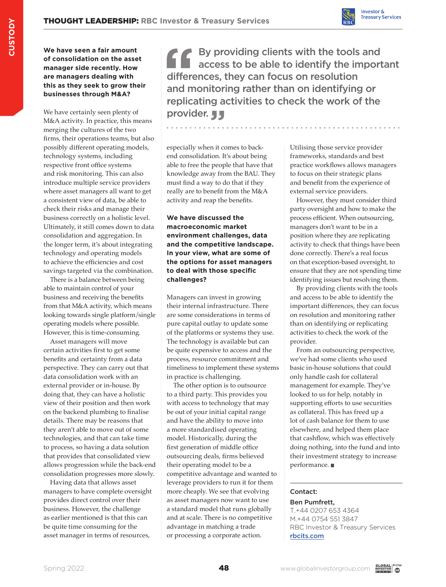

**We have seen a fair amount of consolidation on the asset manager side recently. How are managers dealing with this as they seek to grow their businesses through M&A?**

We have certainly seen plenty of M&A activity. In practice, this means merging the cultures of the two firms, their operations teams, but also possibly different operating models, technology systems, including respective front office systems and risk monitoring. This can also introduce multiple service providers where asset managers all want to get a consistent view of data, be able to check their risks and manage their business correctly on a holistic level. Ultimately, it still comes down to data consolidation and aggregation. In the longer term, it's about integrating technology and operating models to achieve the efficiencies and cost savings targeted via the combination.

There is a balance between being able to maintain control of your business and receiving the benefits from that M&A activity, which means looking towards single platform/single operating models where possible. However, this is time-consuming.

Asset managers will move certain activities first to get some benefits and certainty from a data perspective. They can carry out that data consolidation work with an external provider or in-house. By doing that, they can have a holistic view of their position and then work on the backend plumbing to finalise details. There may be reasons that they aren't able to move out of some technologies, and that can take time to process, so having a data solution that provides that consolidated view allows progression while the back-end consolidation progresses more slowly.

Having data that allows asset managers to have complete oversight provides direct control over their business. However, the challenge as earlier mentioned is that this can be quite time consuming for the asset manager in terms of resources,

By providing clients with the tools and access to be able to identify the important differences, they can focus on resolution and monitoring rather than on identifying or replicating activities to check the work of the provider. **JJ** 

especially when it comes to backend consolidation. It's about being able to free the people that have that knowledge away from the BAU. They must find a way to do that if they really are to benefit from the M&A activity and reap the benefits.

### **We have discussed the macroeconomic market environment challenges, data and the competitive landscape. In your view, what are some of the options for asset managers to deal with those specific challenges?**

Managers can invest in growing their internal infrastructure. There are some considerations in terms of pure capital outlay to update some of the platforms or systems they use. The technology is available but can be quite expensive to access and the process, resource commitment and timeliness to implement these systems in practice is challenging.

The other option is to outsource to a third party. This provides you with access to technology that may be out of your initial capital range and have the ability to move into a more standardised operating model. Historically, during the first generation of middle office outsourcing deals, firms believed their operating model to be a competitive advantage and wanted to leverage providers to run it for them more cheaply. We see that evolving as asset managers now want to use a standard model that runs globally and at scale. There is no competitive advantage in matching a trade or processing a corporate action.

Utilising those service provider frameworks, standards and best practice workflows allows managers to focus on their strategic plans and benefit from the experience of external service providers.

However, they must consider third party oversight and how to make the process efficient. When outsourcing, managers don't want to be in a position where they are replicating activity to check that things have been done correctly. There's a real focus on that exception-based oversight, to ensure that they are not spending time identifying issues but resolving them.

By providing clients with the tools and access to be able to identify the important differences, they can focus on resolution and monitoring rather than on identifying or replicating activities to check the work of the provider.

From an outsourcing perspective, we've had some clients who used basic in-house solutions that could only handle cash for collateral management for example. They've looked to us for help, notably in supporting efforts to use securities as collateral. This has freed up a lot of cash balance for them to use elsewhere, and helped them place that cashflow, which was effectively doing nothing, into the fund and into their investment strategy to increase performance.

## Contact:

#### Ben Pumfrett, T.+44 0207 653 4364 M.+44 0754 551 3847 RBC Investor & Treasury Services [rbcits.com](http://rbcits.com )